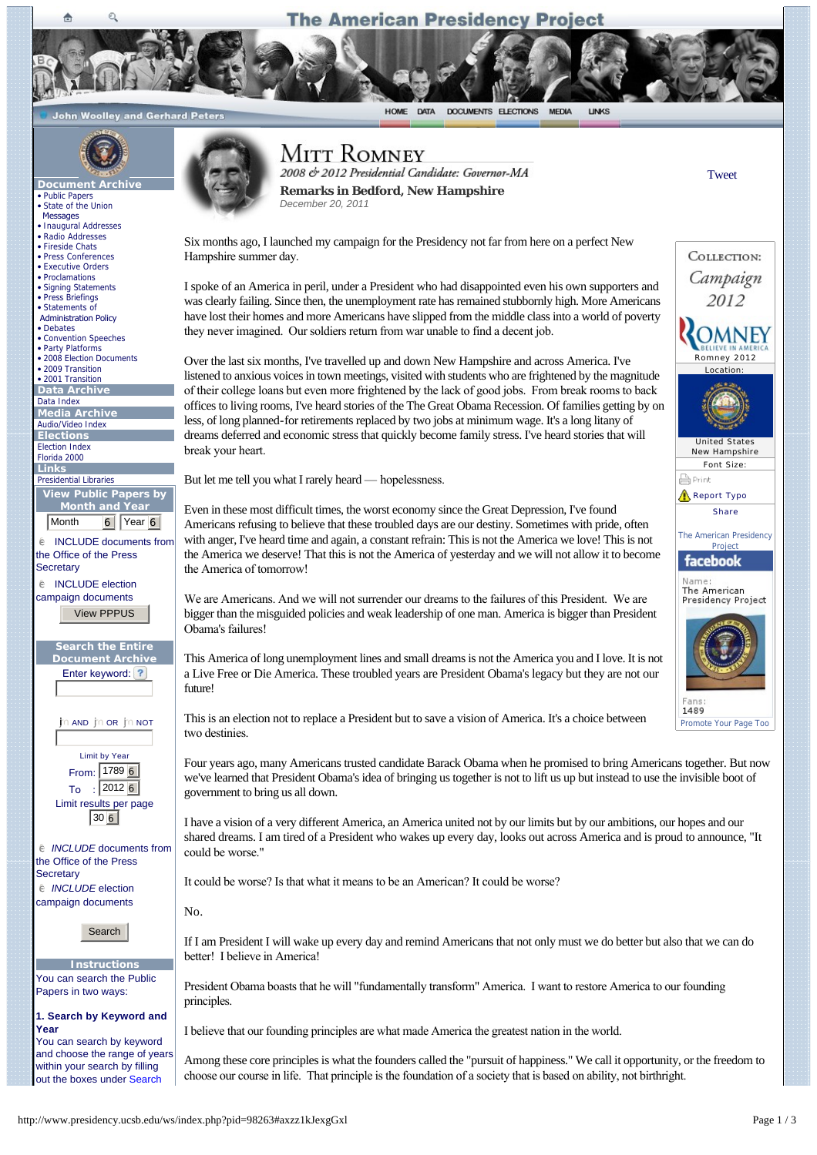## **The American Presidency Project**

HOME DATA DOCUMENTS ELECTIONS

MEDIA

LINKS

**John Woolley and Gerhard Peters** 



Ō

**Document** • [Public Papers](http://www.presidency.ucsb.edu/ws)

- [State of the Union](http://www.presidency.ucsb.edu/sou.php)
- **Messages**
- [Inaugural Addresses](http://www.presidency.ucsb.edu/inaugurals.php) • [Radio Addresses](http://www.presidency.ucsb.edu/satradio.php)
- [Fireside Chats](http://www.presidency.ucsb.edu/fireside.php)
- [Press Conferences](http://www.presidency.ucsb.edu/news_conferences.php)
- [Executive Orders](http://www.presidency.ucsb.edu/executive_orders.php)
- [Proclamations](http://www.presidency.ucsb.edu/proclamations.php)
- [Signing Statements](http://www.presidency.ucsb.edu/signingstatements.php)
- [Press Briefings](http://www.presidency.ucsb.edu/press_briefings.php)
- Statements of  [Administration Policy](http://www.presidency.ucsb.edu/saps.php)
- [Debates](http://www.presidency.ucsb.edu/debates.php)
- [Convention Speeches](http://www.presidency.ucsb.edu/nomination.php)
- [Party Platforms](http://www.presidency.ucsb.edu/platforms.php)
- [2008 Election Documents](http://www.presidency.ucsb.edu/2008_election.php)  • [2009 Transition](http://www.presidency.ucsb.edu/transition2009.php)
- [2001 Transition](http://www.presidency.ucsb.edu/transition2001.php)
- **Data Archive**
- [Data Index](http://www.presidency.ucsb.edu/data.php)

**Media Archive**

[Audio/Video Index](http://www.presidency.ucsb.edu/media.php)

**Elections**

[Election Index](http://www.presidency.ucsb.edu/elections.php)

[Florida 2000](http://www.presidency.ucsb.edu/florida2000.php)

**Links** [Presidential Libraries](http://www.presidency.ucsb.edu/libraries.php) **View Public Papers by** 

| Month and Year، |                |
|-----------------|----------------|
| Month           | $6$   Year $6$ |

 $e$  INCLUDE documents from the Office of the Press **Secretary** 

 $é$  INCLUDE election campaign documents View PPPUS

**Search the Entire Document Archive** Enter keyword: ?

 $\mathbf i$ n and  $\mathbf j$ n or  $\mathbf i$ n not  $\mathbf i$ 

| <b>Limit by Year</b>   |                      |  |
|------------------------|----------------------|--|
|                        | From: 1789 6         |  |
| To                     | $\frac{1}{2}$ 2012 6 |  |
| Limit results per page |                      |  |
| 30 <sub>6</sub>        |                      |  |

 $\epsilon$  *INCLUDE* documents from the Office of the Press **Secretary**  $é$  *INCLUDE* election campaign documents

Search

**Instructions** You can search the Public Papers in two ways:

### **1. Search by Keyword and Year** You can search by keyword

and choose the range of years within your search by filling out the boxes under Search



# **MITT ROMNEY**

2008 & 2012 Presidential Candidate: Governor-MA **Remarks in Bedford, New Hampshire** *December 20, 2011*

**[Tweet](https://twitter.com/share)** 

COLLECTION: Campaign 2012

Romney 2012 Location:

**OMNEY** 

United States New Hampshire Font Size:

[Promote Your Page Too](http://www.facebook.com/business/dashboard/)

1489

[Report Typo](http://www.presidency.ucsb.edu/ws/index.php?pid=98263#) [Share](http://www.addthis.com/bookmark.php?v=250&username=gerhard71) The American Presidency [Project](http://www.facebook.com/pages/The-American-Presidency-Project/103922850052)

facebook Name: The American Presidency Project

A Print

Six months ago, I launched my campaign for the Presidency not far from here on a perfect New Hampshire summer day.

I spoke of an America in peril, under a President who had disappointed even his own supporters and was clearly failing. Since then, the unemployment rate has remained stubbornly high. More Americans have lost their homes and more Americans have slipped from the middle class into a world of poverty they never imagined. Our soldiers return from war unable to find a decent job.

Over the last six months, I've travelled up and down New Hampshire and across America. I've listened to anxious voices in town meetings, visited with students who are frightened by the magnitude of their college loans but even more frightened by the lack of good jobs. From break rooms to back offices to living rooms, I've heard stories of the The Great Obama Recession. Of families getting by on less, of long planned-for retirements replaced by two jobs at minimum wage. It's a long litany of dreams deferred and economic stress that quickly become family stress. I've heard stories that will break your heart.

But let me tell you what I rarely heard — hopelessness.

Even in these most difficult times, the worst economy since the Great Depression, I've found Americans refusing to believe that these troubled days are our destiny. Sometimes with pride, often with anger, I've heard time and again, a constant refrain: This is not the America we love! This is not the America we deserve! That this is not the America of yesterday and we will not allow it to become the America of tomorrow!

We are Americans. And we will not surrender our dreams to the failures of this President. We are bigger than the misguided policies and weak leadership of one man. America is bigger than President Obama's failures!

This America of long unemployment lines and small dreams is not the America you and I love. It is not a Live Free or Die America. These troubled years are President Obama's legacy but they are not our future!

This is an election not to replace a President but to save a vision of America. It's a choice between two destinies.

Four years ago, many Americans trusted candidate Barack Obama when he promised to bring Americans together. But now we've learned that President Obama's idea of bringing us together is not to lift us up but instead to use the invisible boot of government to bring us all down.

I have a vision of a very different America, an America united not by our limits but by our ambitions, our hopes and our shared dreams. I am tired of a President who wakes up every day, looks out across America and is proud to announce, "It could be worse."

It could be worse? Is that what it means to be an American? It could be worse?

No.

If I am President I will wake up every day and remind Americans that not only must we do better but also that we can do better! I believe in America!

President Obama boasts that he will "fundamentally transform" America. I want to restore America to our founding principles.

I believe that our founding principles are what made America the greatest nation in the world.

Among these core principles is what the founders called the "pursuit of happiness." We call it opportunity, or the freedom to choose our course in life. That principle is the foundation of a society that is based on ability, not birthright.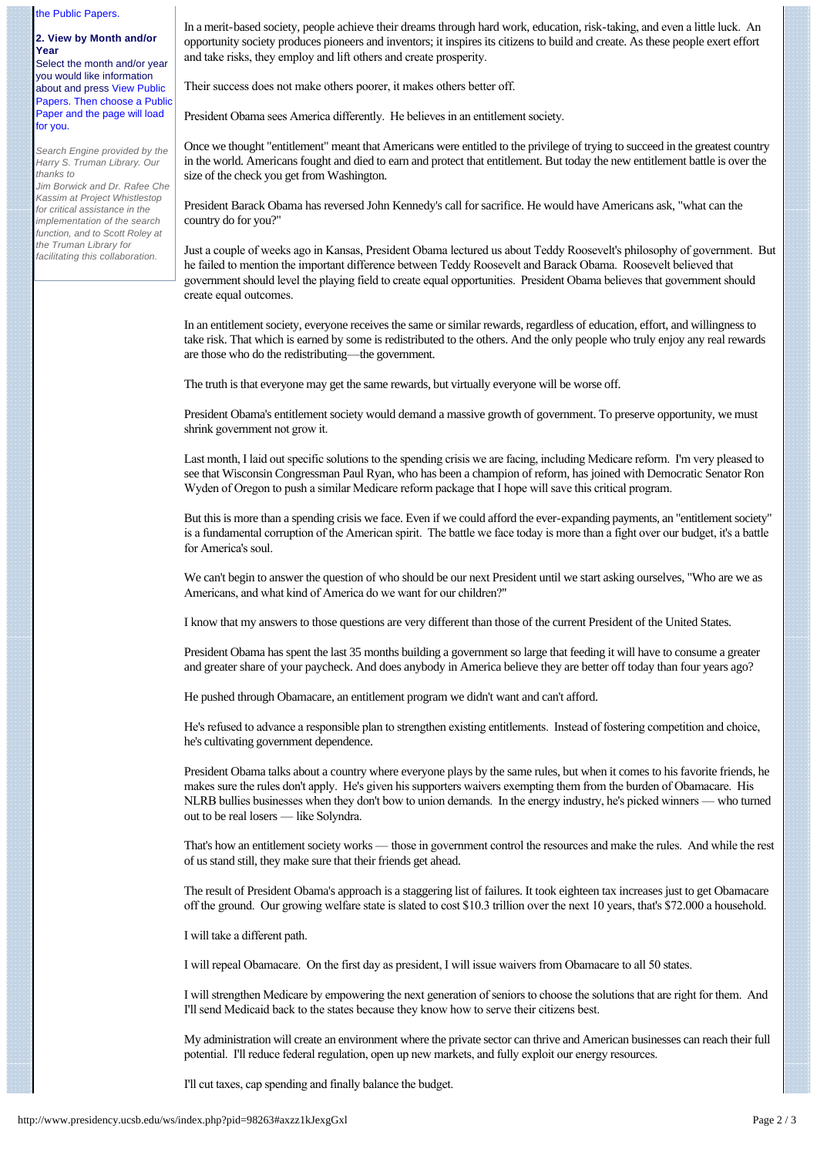the Public Papers.

### **2. View by Month and/or Year**

Select the month and/or year you would like information about and press View Public Papers. Then choose a Public Paper and the page will load for you.

*Search Engine provided by the Harry S. Truman Library. Our thanks to* 

*Jim Borwick and Dr. Rafee Che Kassim at Project Whistlestop for critical assistance in the implementation of the search function, and to Scott Roley at the Truman Library for facilitating this collaboration.*

In a merit-based society, people achieve their dreams through hard work, education, risk-taking, and even a little luck. An opportunity society produces pioneers and inventors; it inspires its citizens to build and create. As these people exert effort and take risks, they employ and lift others and create prosperity.

Their success does not make others poorer, it makes others better off.

President Obama sees America differently. He believes in an entitlement society.

Once we thought "entitlement" meant that Americans were entitled to the privilege of trying to succeed in the greatest country in the world. Americans fought and died to earn and protect that entitlement. But today the new entitlement battle is over the size of the check you get from Washington.

President Barack Obama has reversed John Kennedy's call for sacrifice. He would have Americans ask, "what can the country do for you?"

Just a couple of weeks ago in Kansas, President Obama lectured us about Teddy Roosevelt's philosophy of government. But he failed to mention the important difference between Teddy Roosevelt and Barack Obama. Roosevelt believed that government should level the playing field to create equal opportunities. President Obama believes that government should create equal outcomes.

In an entitlement society, everyone receives the same or similar rewards, regardless of education, effort, and willingness to take risk. That which is earned by some is redistributed to the others. And the only people who truly enjoy any real rewards are those who do the redistributing—the government.

The truth is that everyone may get the same rewards, but virtually everyone will be worse off.

President Obama's entitlement society would demand a massive growth of government. To preserve opportunity, we must shrink government not grow it.

Last month, I laid out specific solutions to the spending crisis we are facing, including Medicare reform. I'm very pleased to see that Wisconsin Congressman Paul Ryan, who has been a champion of reform, has joined with Democratic Senator Ron Wyden of Oregon to push a similar Medicare reform package that I hope will save this critical program.

But this is more than a spending crisis we face. Even if we could afford the ever-expanding payments, an "entitlement society" is a fundamental corruption of the American spirit. The battle we face today is more than a fight over our budget, it's a battle for America's soul.

We can't begin to answer the question of who should be our next President until we start asking ourselves, "Who are we as Americans, and what kind of America do we want for our children?"

I know that my answers to those questions are very different than those of the current President of the United States.

President Obama has spent the last 35 months building a government so large that feeding it will have to consume a greater and greater share of your paycheck. And does anybody in America believe they are better off today than four years ago?

He pushed through Obamacare, an entitlement program we didn't want and can't afford.

He's refused to advance a responsible plan to strengthen existing entitlements. Instead of fostering competition and choice, he's cultivating government dependence.

President Obama talks about a country where everyone plays by the same rules, but when it comes to his favorite friends, he makes sure the rules don't apply. He's given his supporters waivers exempting them from the burden of Obamacare. His NLRB bullies businesses when they don't bow to union demands. In the energy industry, he's picked winners — who turned out to be real losers — like Solyndra.

That's how an entitlement society works — those in government control the resources and make the rules. And while the rest of us stand still, they make sure that their friends get ahead.

The result of President Obama's approach is a staggering list of failures. It took eighteen tax increases just to get Obamacare off the ground. Our growing welfare state is slated to cost \$10.3 trillion over the next 10 years, that's \$72.000 a household.

I will take a different path.

I will repeal Obamacare. On the first day as president, I will issue waivers from Obamacare to all 50 states.

I will strengthen Medicare by empowering the next generation of seniors to choose the solutions that are right for them. And I'll send Medicaid back to the states because they know how to serve their citizens best.

My administration will create an environment where the private sector can thrive and American businesses can reach their full potential. I'll reduce federal regulation, open up new markets, and fully exploit our energy resources.

I'll cut taxes, cap spending and finally balance the budget.